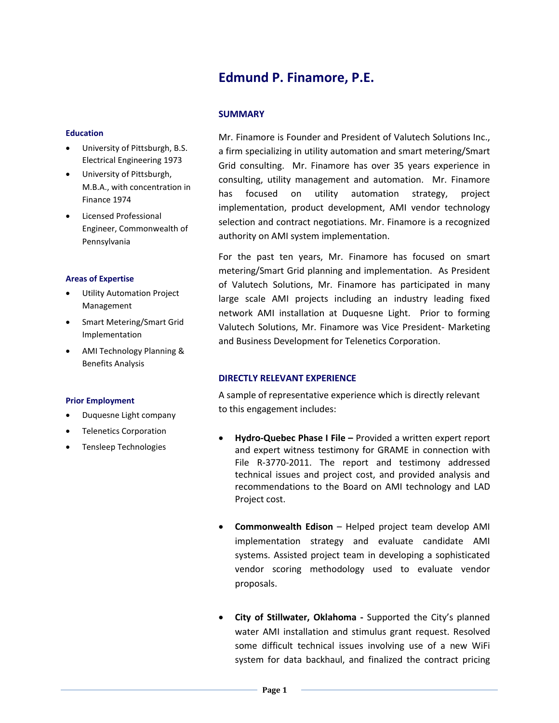# **Edmund P. Finamore, P.E.**

## **Education**

- University of Pittsburgh, B.S. Electrical Engineering 1973
- University of Pittsburgh, M.B.A., with concentration in Finance 1974
- Licensed Professional Engineer, Commonwealth of Pennsylvania

## **Areas of Expertise**

- Utility Automation Project Management
- Smart Metering/Smart Grid Implementation
- AMI Technology Planning & Benefits Analysis

#### **Prior Employment**

- Duquesne Light company
- Telenetics Corporation
- Tensleep Technologies

# **SUMMARY**

Mr. Finamore is Founder and President of Valutech Solutions Inc., a firm specializing in utility automation and smart metering/Smart Grid consulting. Mr. Finamore has over 35 years experience in consulting, utility management and automation. Mr. Finamore has focused on utility automation strategy, project implementation, product development, AMI vendor technology selection and contract negotiations. Mr. Finamore is a recognized authority on AMI system implementation.

For the past ten years, Mr. Finamore has focused on smart metering/Smart Grid planning and implementation. As President of Valutech Solutions, Mr. Finamore has participated in many large scale AMI projects including an industry leading fixed network AMI installation at Duquesne Light. Prior to forming Valutech Solutions, Mr. Finamore was Vice President- Marketing and Business Development for Telenetics Corporation.

## **DIRECTLY RELEVANT EXPERIENCE**

A sample of representative experience which is directly relevant to this engagement includes:

- **Hydro-Quebec Phase I File –** Provided a written expert report and expert witness testimony for GRAME in connection with File R-3770-2011. The report and testimony addressed technical issues and project cost, and provided analysis and recommendations to the Board on AMI technology and LAD Project cost.
- **Commonwealth Edison** Helped project team develop AMI implementation strategy and evaluate candidate AMI systems. Assisted project team in developing a sophisticated vendor scoring methodology used to evaluate vendor proposals.
- **City of Stillwater, Oklahoma -** Supported the City's planned water AMI installation and stimulus grant request. Resolved some difficult technical issues involving use of a new WiFi system for data backhaul, and finalized the contract pricing